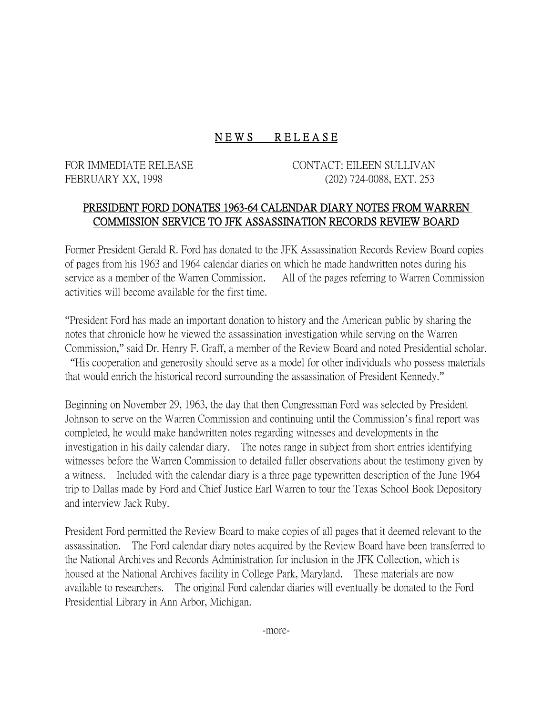## NEWS RELEASE

FOR IMMEDIATE RELEASE CONTACT: EILEEN SULLIVAN FEBRUARY XX, 1998 (202) 724-0088, EXT. 253

## PRESIDENT FORD DONATES 1963-64 CALENDAR DIARY NOTES FROM WARREN COMMISSION SERVICE TO JFK ASSASSINATION RECORDS REVIEW BOARD

Former President Gerald R. Ford has donated to the JFK Assassination Records Review Board copies of pages from his 1963 and 1964 calendar diaries on which he made handwritten notes during his service as a member of the Warren Commission. All of the pages referring to Warren Commission activities will become available for the first time.

"President Ford has made an important donation to history and the American public by sharing the notes that chronicle how he viewed the assassination investigation while serving on the Warren Commission," said Dr. Henry F. Graff, a member of the Review Board and noted Presidential scholar. "His cooperation and generosity should serve as a model for other individuals who possess materials that would enrich the historical record surrounding the assassination of President Kennedy."

Beginning on November 29, 1963, the day that then Congressman Ford was selected by President Johnson to serve on the Warren Commission and continuing until the Commission's final report was completed, he would make handwritten notes regarding witnesses and developments in the investigation in his daily calendar diary. The notes range in subject from short entries identifying witnesses before the Warren Commission to detailed fuller observations about the testimony given by a witness. Included with the calendar diary is a three page typewritten description of the June 1964 trip to Dallas made by Ford and Chief Justice Earl Warren to tour the Texas School Book Depository and interview Jack Ruby.

President Ford permitted the Review Board to make copies of all pages that it deemed relevant to the assassination. The Ford calendar diary notes acquired by the Review Board have been transferred to the National Archives and Records Administration for inclusion in the JFK Collection, which is housed at the National Archives facility in College Park, Maryland. These materials are now available to researchers. The original Ford calendar diaries will eventually be donated to the Ford Presidential Library in Ann Arbor, Michigan.